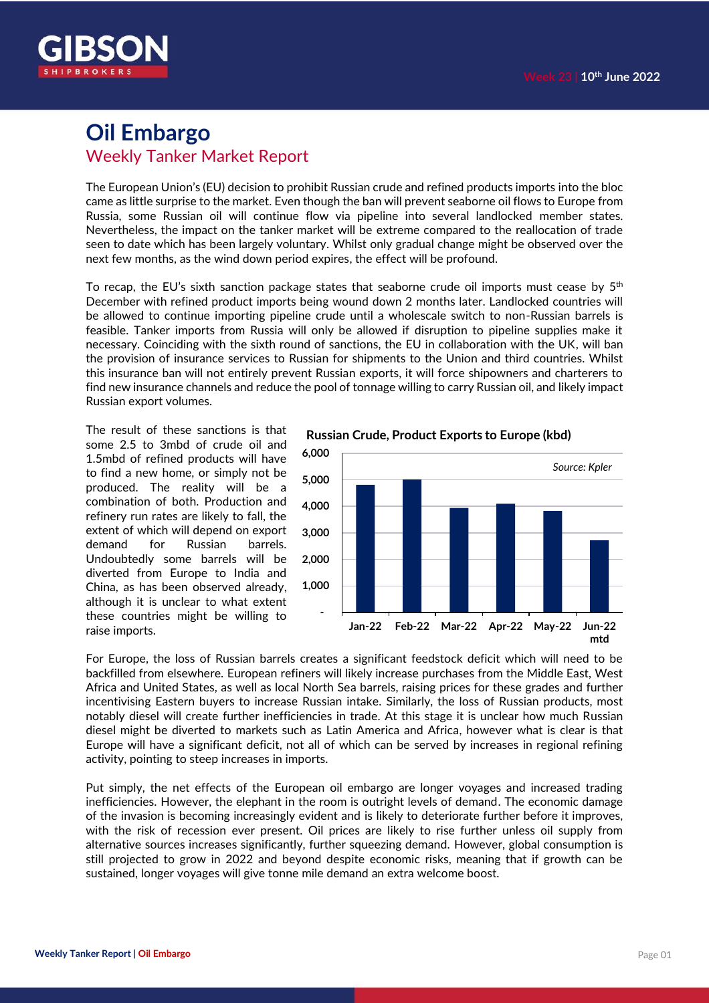

### **Oil Embargo** Weekly Tanker Market Report

The European Union's (EU) decision to prohibit Russian crude and refined products imports into the bloc came as little surprise to the market. Even though the ban will prevent seaborne oil flows to Europe from Russia, some Russian oil will continue flow via pipeline into several landlocked member states. Nevertheless, the impact on the tanker market will be extreme compared to the reallocation of trade seen to date which has been largely voluntary. Whilst only gradual change might be observed over the next few months, as the wind down period expires, the effect will be profound.

To recap, the EU's sixth sanction package states that seaborne crude oil imports must cease by  $5^{\rm th}$ December with refined product imports being wound down 2 months later. Landlocked countries will be allowed to continue importing pipeline crude until a wholescale switch to non-Russian barrels is feasible. Tanker imports from Russia will only be allowed if disruption to pipeline supplies make it necessary. Coinciding with the sixth round of sanctions, the EU in collaboration with the UK, will ban the provision of insurance services to Russian for shipments to the Union and third countries. Whilst this insurance ban will not entirely prevent Russian exports, it will force shipowners and charterers to find new insurance channels and reduce the pool of tonnage willing to carry Russian oil, and likely impact Russian export volumes.

The result of these sanctions is that some 2.5 to 3mbd of crude oil and 1.5mbd of refined products will have to find a new home, or simply not be produced. The reality will be a combination of both. Production and refinery run rates are likely to fall, the extent of which will depend on export demand for Russian barrels. Undoubtedly some barrels will be diverted from Europe to India and China, as has been observed already, although it is unclear to what extent these countries might be willing to raise imports.



For Europe, the loss of Russian barrels creates a significant feedstock deficit which will need to be backfilled from elsewhere. European refiners will likely increase purchases from the Middle East, West Africa and United States, as well as local North Sea barrels, raising prices for these grades and further incentivising Eastern buyers to increase Russian intake. Similarly, the loss of Russian products, most notably diesel will create further inefficiencies in trade. At this stage it is unclear how much Russian diesel might be diverted to markets such as Latin America and Africa, however what is clear is that Europe will have a significant deficit, not all of which can be served by increases in regional refining activity, pointing to steep increases in imports.

Put simply, the net effects of the European oil embargo are longer voyages and increased trading inefficiencies. However, the elephant in the room is outright levels of demand. The economic damage of the invasion is becoming increasingly evident and is likely to deteriorate further before it improves, with the risk of recession ever present. Oil prices are likely to rise further unless oil supply from alternative sources increases significantly, further squeezing demand. However, global consumption is still projected to grow in 2022 and beyond despite economic risks, meaning that if growth can be sustained, longer voyages will give tonne mile demand an extra welcome boost.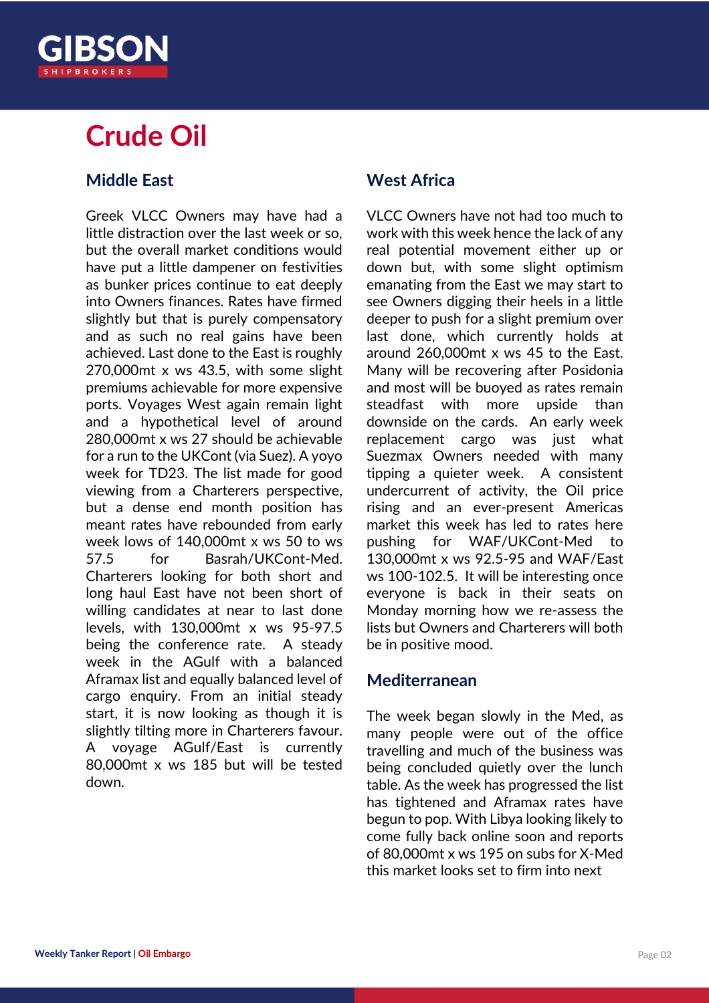# **Crude Oil**

#### **Middle East**

Greek VLCC Owners may have had a little distraction over the last week or so, but the overall market conditions would have put a little dampener on festivities as bunker prices continue to eat deeply into Owners finances. Rates have firmed slightly but that is purely compensatory and as such no real gains have been achieved. Last done to the East is roughly 270,000mt x ws 43.5, with some slight premiums achievable for more expensive ports. Voyages West again remain light and a hypothetical level of around 280,000mt x ws 27 should be achievable for a run to the UKCont (via Suez). A yoyo week for TD23. The list made for good viewing from a Charterers perspective, but a dense end month position has meant rates have rebounded from early week lows of 140,000mt x ws 50 to ws 57.5 for Basrah/UKCont-Med. Charterers looking for both short and long haul East have not been short of willing candidates at near to last done levels, with 130,000mt x ws 95-97.5 being the conference rate. A steady week in the AGulf with a balanced Aframax list and equally balanced level of cargo enquiry. From an initial steady start, it is now looking as though it is slightly tilting more in Charterers favour. A voyage AGulf/East is currently 80,000mt x ws 185 but will be tested down.

#### **West Africa**

VLCC Owners have not had too much to work with this week hence the lack of any real potential movement either up or down but, with some slight optimism emanating from the East we may start to see Owners digging their heels in a little deeper to push for a slight premium over last done, which currently holds at around 260,000mt x ws 45 to the East. Many will be recovering after Posidonia and most will be buoyed as rates remain steadfast with more upside than downside on the cards. An early week replacement cargo was just what Suezmax Owners needed with many tipping a quieter week. A consistent undercurrent of activity, the Oil price rising and an ever-present Americas market this week has led to rates here pushing for WAF/UKCont-Med to 130,000mt x ws 92.5-95 and WAF/East ws 100-102.5. It will be interesting once everyone is back in their seats on Monday morning how we re-assess the lists but Owners and Charterers will both be in positive mood.

#### **Mediterranean**

The week began slowly in the Med, as many people were out of the office travelling and much of the business was being concluded quietly over the lunch table. As the week has progressed the list has tightened and Aframax rates have begun to pop. With Libya looking likely to come fully back online soon and reports of 80,000mt x ws 195 on subs for X-Med this market looks set to firm into next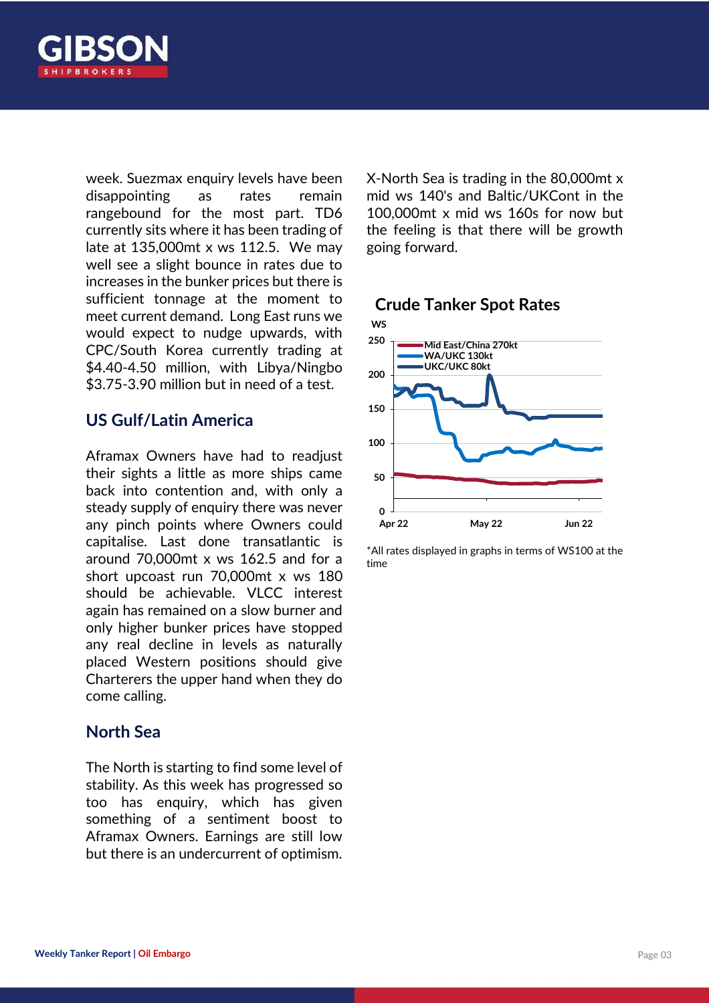

week. Suezmax enquiry levels have been disappointing as rates remain rangebound for the most part. TD6 currently sits where it has been trading of late at 135,000mt x ws 112.5. We may well see a slight bounce in rates due to increases in the bunker prices but there is sufficient tonnage at the moment to meet current demand. Long East runs we would expect to nudge upwards, with CPC/South Korea currently trading at \$4.40-4.50 million, with Libya/Ningbo \$3.75-3.90 million but in need of a test.

#### **US Gulf/Latin America**

Aframax Owners have had to readjust their sights a little as more ships came back into contention and, with only a steady supply of enquiry there was never any pinch points where Owners could capitalise. Last done transatlantic is around 70,000mt x ws 162.5 and for a short upcoast run 70,000mt x ws 180 should be achievable. VLCC interest again has remained on a slow burner and only higher bunker prices have stopped any real decline in levels as naturally placed Western positions should give Charterers the upper hand when they do come calling.

#### **North Sea**

The North is starting to find some level of stability. As this week has progressed so too has enquiry, which has given something of a sentiment boost to Aframax Owners. Earnings are still low but there is an undercurrent of optimism.

X-North Sea is trading in the 80,000mt x mid ws 140's and Baltic/UKCont in the 100,000mt x mid ws 160s for now but the feeling is that there will be growth going forward.

#### **Crude Tanker Spot Rates**



\*All rates displayed in graphs in terms of WS100 at the time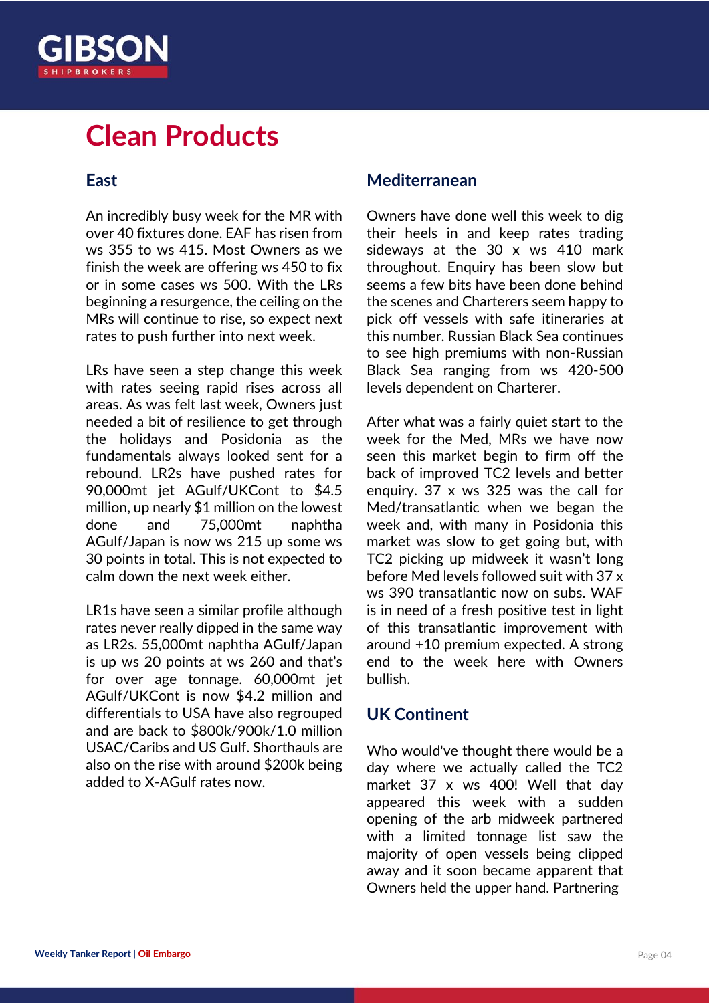

#### **East**

An incredibly busy week for the MR with over 40 fixtures done. EAF has risen from ws 355 to ws 415. Most Owners as we finish the week are offering ws 450 to fix or in some cases ws 500. With the LRs beginning a resurgence, the ceiling on the MRs will continue to rise, so expect next rates to push further into next week.

LRs have seen a step change this week with rates seeing rapid rises across all areas. As was felt last week, Owners just needed a bit of resilience to get through the holidays and Posidonia as the fundamentals always looked sent for a rebound. LR2s have pushed rates for 90,000mt jet AGulf/UKCont to \$4.5 million, up nearly \$1 million on the lowest done and 75,000mt naphtha AGulf/Japan is now ws 215 up some ws 30 points in total. This is not expected to calm down the next week either.

LR1s have seen a similar profile although rates never really dipped in the same way as LR2s. 55,000mt naphtha AGulf/Japan is up ws 20 points at ws 260 and that's for over age tonnage. 60,000mt jet AGulf/UKCont is now \$4.2 million and differentials to USA have also regrouped and are back to \$800k/900k/1.0 million USAC/Caribs and US Gulf. Shorthauls are also on the rise with around \$200k being added to X-AGulf rates now.

#### **Mediterranean**

Owners have done well this week to dig their heels in and keep rates trading sideways at the 30 x ws 410 mark throughout. Enquiry has been slow but seems a few bits have been done behind the scenes and Charterers seem happy to pick off vessels with safe itineraries at this number. Russian Black Sea continues to see high premiums with non-Russian Black Sea ranging from ws 420-500 levels dependent on Charterer.

After what was a fairly quiet start to the week for the Med, MRs we have now seen this market begin to firm off the back of improved TC2 levels and better enquiry. 37 x ws 325 was the call for Med/transatlantic when we began the week and, with many in Posidonia this market was slow to get going but, with TC2 picking up midweek it wasn't long before Med levels followed suit with 37 x ws 390 transatlantic now on subs. WAF is in need of a fresh positive test in light of this transatlantic improvement with around +10 premium expected. A strong end to the week here with Owners bullish.

#### **UK Continent**

Who would've thought there would be a day where we actually called the TC2 market 37 x ws 400! Well that day appeared this week with a sudden opening of the arb midweek partnered with a limited tonnage list saw the majority of open vessels being clipped away and it soon became apparent that Owners held the upper hand. Partnering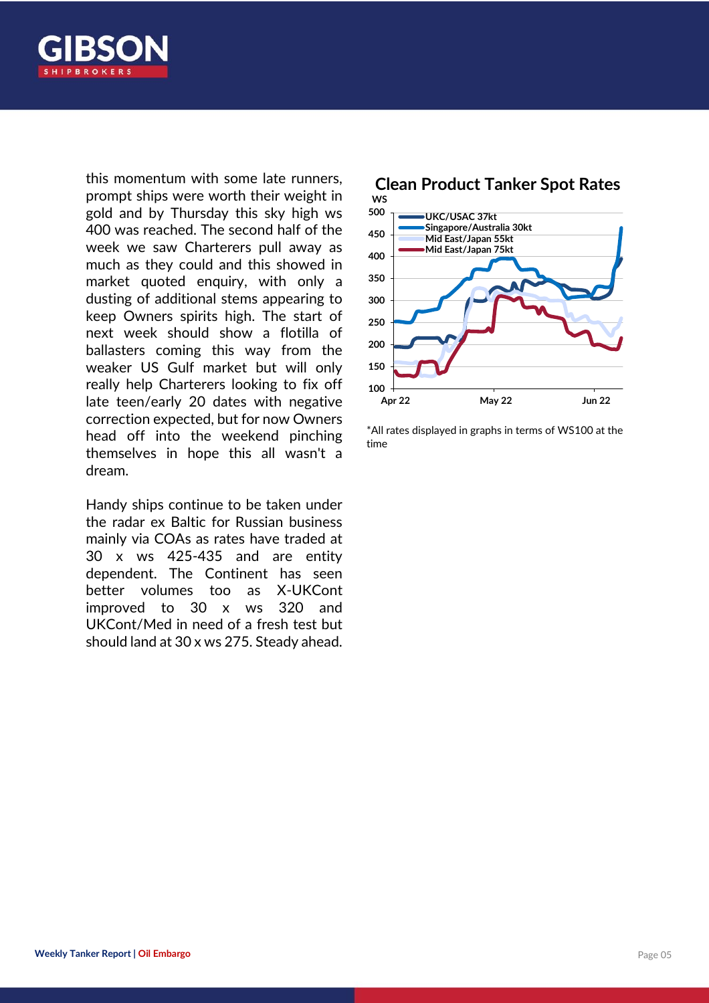

this momentum with some late runners, prompt ships were worth their weight in gold and by Thursday this sky high ws 400 was reached. The second half of the week we saw Charterers pull away as much as they could and this showed in market quoted enquiry, with only a dusting of additional stems appearing to keep Owners spirits high. The start of next week should show a flotilla of ballasters coming this way from the weaker US Gulf market but will only really help Charterers looking to fix off late teen/early 20 dates with negative correction expected, but for now Owners head off into the weekend pinching themselves in hope this all wasn't a dream.

Handy ships continue to be taken under the radar ex Baltic for Russian business mainly via COAs as rates have traded at 30 x ws 425-435 and are entity dependent. The Continent has seen better volumes too as X-UKCont improved to 30 x ws 320 and UKCont/Med in need of a fresh test but should land at 30 x ws 275. Steady ahead.



\*All rates displayed in graphs in terms of WS100 at the time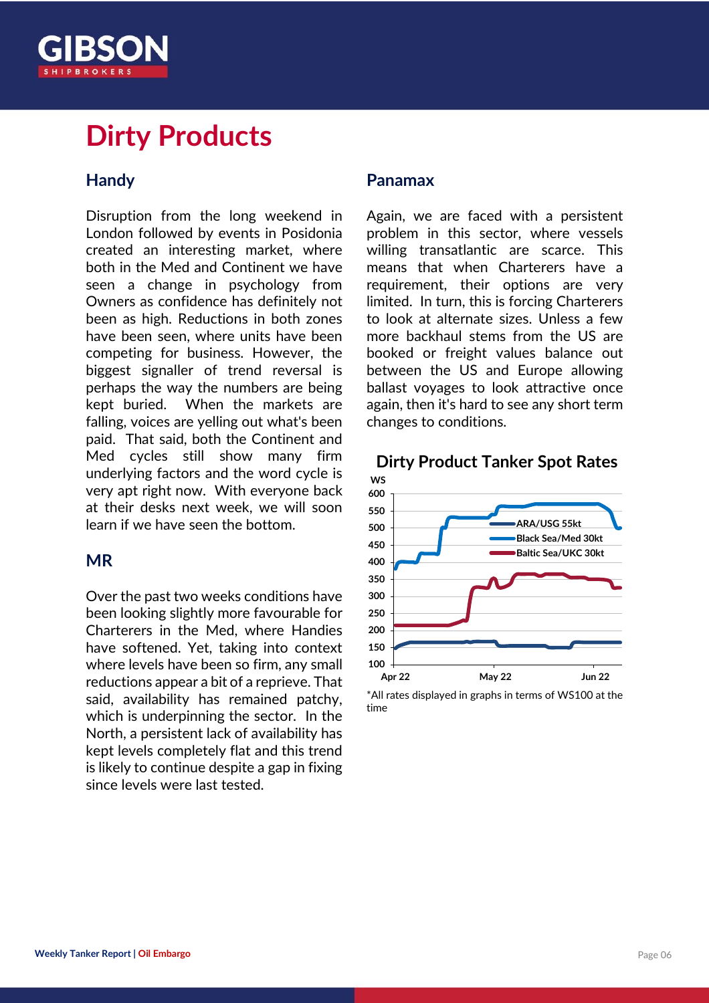

## **Dirty Products**

#### **Handy**

Disruption from the long weekend in London followed by events in Posidonia created an interesting market, where both in the Med and Continent we have seen a change in psychology from Owners as confidence has definitely not been as high. Reductions in both zones have been seen, where units have been competing for business. However, the biggest signaller of trend reversal is perhaps the way the numbers are being kept buried. When the markets are falling, voices are yelling out what's been paid. That said, both the Continent and Med cycles still show many firm underlying factors and the word cycle is very apt right now. With everyone back at their desks next week, we will soon learn if we have seen the bottom.

#### **MR**

Over the past two weeks conditions have been looking slightly more favourable for Charterers in the Med, where Handies have softened. Yet, taking into context where levels have been so firm, any small reductions appear a bit of a reprieve. That said, availability has remained patchy, which is underpinning the sector. In the North, a persistent lack of availability has kept levels completely flat and this trend is likely to continue despite a gap in fixing since levels were last tested.

#### **Panamax**

Again, we are faced with a persistent problem in this sector, where vessels willing transatlantic are scarce. This means that when Charterers have a requirement, their options are very limited. In turn, this is forcing Charterers to look at alternate sizes. Unless a few more backhaul stems from the US are booked or freight values balance out between the US and Europe allowing ballast voyages to look attractive once again, then it's hard to see any short term changes to conditions.





\*All rates displayed in graphs in terms of WS100 at the time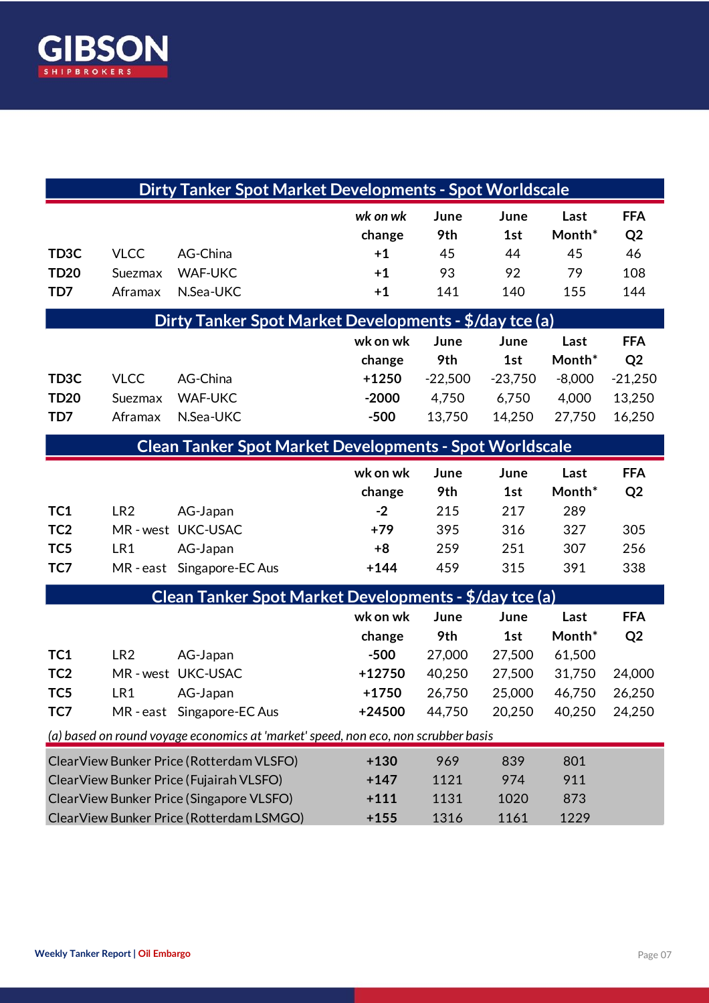

| <b>Dirty Tanker Spot Market Developments - Spot Worldscale</b>                     |                 |                                          |          |           |           |          |                |
|------------------------------------------------------------------------------------|-----------------|------------------------------------------|----------|-----------|-----------|----------|----------------|
|                                                                                    |                 |                                          | wk on wk | June      | June      | Last     | <b>FFA</b>     |
|                                                                                    |                 |                                          | change   | 9th       | 1st       | Month*   | Q <sub>2</sub> |
| TD <sub>3</sub> C                                                                  | <b>VLCC</b>     | AG-China                                 | $+1$     | 45        | 44        | 45       | 46             |
| <b>TD20</b>                                                                        | Suezmax         | <b>WAF-UKC</b>                           | $+1$     | 93        | 92        | 79       | 108            |
| TD7                                                                                | Aframax         | N.Sea-UKC                                | $+1$     | 141       | 140       | 155      | 144            |
| Dirty Tanker Spot Market Developments - \$/day tce (a)                             |                 |                                          |          |           |           |          |                |
|                                                                                    |                 |                                          | wk on wk | June      | June      | Last     | <b>FFA</b>     |
|                                                                                    |                 |                                          | change   | 9th       | 1st       | Month*   | Q <sub>2</sub> |
| TD <sub>3</sub> C                                                                  | <b>VLCC</b>     | AG-China                                 | $+1250$  | $-22,500$ | $-23,750$ | $-8,000$ | $-21,250$      |
| <b>TD20</b>                                                                        | Suezmax         | <b>WAF-UKC</b>                           | $-2000$  | 4,750     | 6,750     | 4,000    | 13,250         |
| TD7                                                                                | Aframax         | N.Sea-UKC                                | $-500$   | 13,750    | 14,250    | 27,750   | 16,250         |
| <b>Clean Tanker Spot Market Developments - Spot Worldscale</b>                     |                 |                                          |          |           |           |          |                |
|                                                                                    |                 |                                          | wk on wk | June      | June      | Last     | <b>FFA</b>     |
|                                                                                    |                 |                                          | change   | 9th       | 1st       | Month*   | Q <sub>2</sub> |
| TC1                                                                                | LR <sub>2</sub> | AG-Japan                                 | $-2$     | 215       | 217       | 289      |                |
| TC <sub>2</sub>                                                                    |                 | MR-west UKC-USAC                         | $+79$    | 395       | 316       | 327      | 305            |
| TC <sub>5</sub>                                                                    | LR1             | AG-Japan                                 | $+8$     | 259       | 251       | 307      | 256            |
| TC7                                                                                |                 | MR-east Singapore-EC Aus                 | $+144$   | 459       | 315       | 391      | 338            |
| Clean Tanker Spot Market Developments - \$/day tce (a)                             |                 |                                          |          |           |           |          |                |
|                                                                                    |                 |                                          | wk on wk | June      | June      | Last     | <b>FFA</b>     |
|                                                                                    |                 |                                          | change   | 9th       | 1st       | Month*   | Q <sub>2</sub> |
| TC1                                                                                | LR <sub>2</sub> | AG-Japan                                 | $-500$   | 27,000    | 27,500    | 61,500   |                |
| TC <sub>2</sub>                                                                    |                 | MR-west UKC-USAC                         | +12750   | 40,250    | 27,500    | 31,750   | 24,000         |
| TC <sub>5</sub>                                                                    | LR1             | AG-Japan                                 | $+1750$  | 26,750    | 25,000    | 46,750   | 26,250         |
| TC7                                                                                |                 | MR-east Singapore-EC Aus                 | +24500   | 44,750    | 20,250    | 40,250   | 24,250         |
| (a) based on round voyage economics at 'market' speed, non eco, non scrubber basis |                 |                                          |          |           |           |          |                |
|                                                                                    |                 | ClearView Bunker Price (Rotterdam VLSFO) | $+130$   | 969       | 839       | 801      |                |
| ClearView Bunker Price (Fujairah VLSFO)                                            |                 |                                          | $+147$   | 1121      | 974       | 911      |                |
| ClearView Bunker Price (Singapore VLSFO)                                           |                 |                                          | $+111$   | 1131      | 1020      | 873      |                |
| ClearView Bunker Price (Rotterdam LSMGO)                                           |                 |                                          | $+155$   | 1316      | 1161      | 1229     |                |